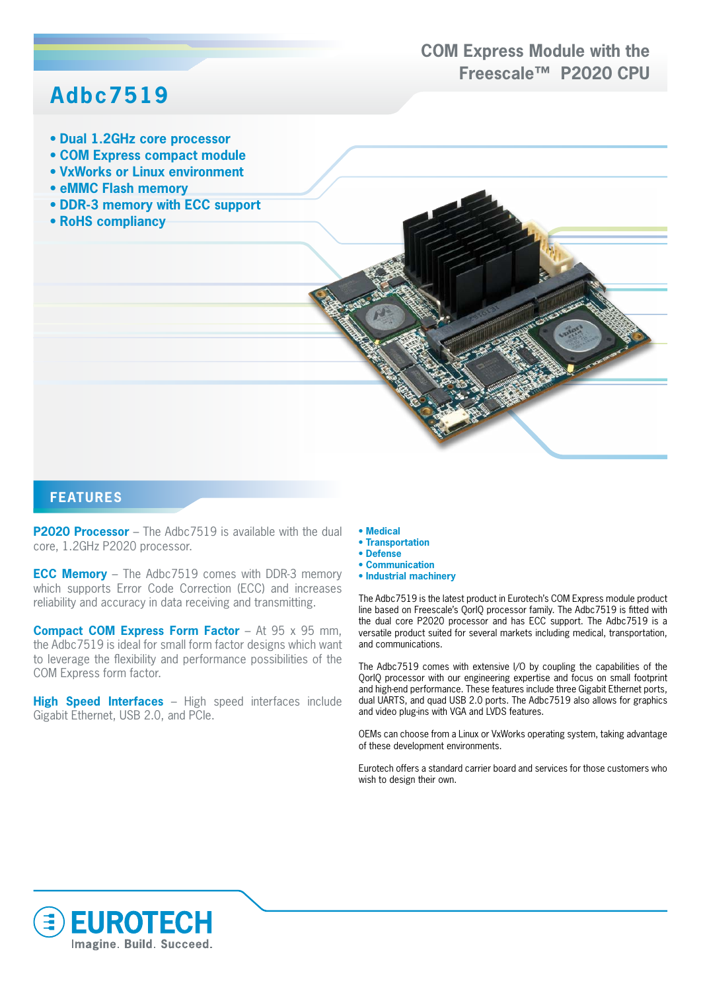## **COM Express Module with the Freescale™ P2020 CPU**

## **Adbc7519**

- **Dual 1.2GHz core processor**
- **COM Express compact module**
- **VxWorks or Linux environment**
- **eMMC Flash memory**
- **DDR-3 memory with ECC support**
- **RoHS compliancy**



**P2020 Processor** – The Adbc7519 is available with the dual core, 1.2GHz P2020 processor.

**ECC Memory** – The Adbc7519 comes with DDR-3 memory which supports Error Code Correction (ECC) and increases reliability and accuracy in data receiving and transmitting.

**Compact COM Express Form Factor** – At 95 x 95 mm, the Adbc7519 is ideal for small form factor designs which want to leverage the flexibility and performance possibilities of the COM Express form factor.

**High Speed Interfaces** – High speed interfaces include Gigabit Ethernet, USB 2.0, and PCIe.

- **Medical**
- **Transportation**
- **Defense**
- **Communication**
- **Industrial machinery**

The Adbc7519 is the latest product in Eurotech's COM Express module product line based on Freescale's QorIQ processor family. The Adbc7519 is fitted with the dual core P2020 processor and has ECC support. The Adbc7519 is a versatile product suited for several markets including medical, transportation, and communications.

The Adbc7519 comes with extensive I/O by coupling the capabilities of the QorIQ processor with our engineering expertise and focus on small footprint and high-end performance. These features include three Gigabit Ethernet ports, dual UARTS, and quad USB 2.0 ports. The Adbc7519 also allows for graphics and video plug-ins with VGA and LVDS features.

OEMs can choose from a Linux or VxWorks operating system, taking advantage of these development environments.

Eurotech offers a standard carrier board and services for those customers who wish to design their own.

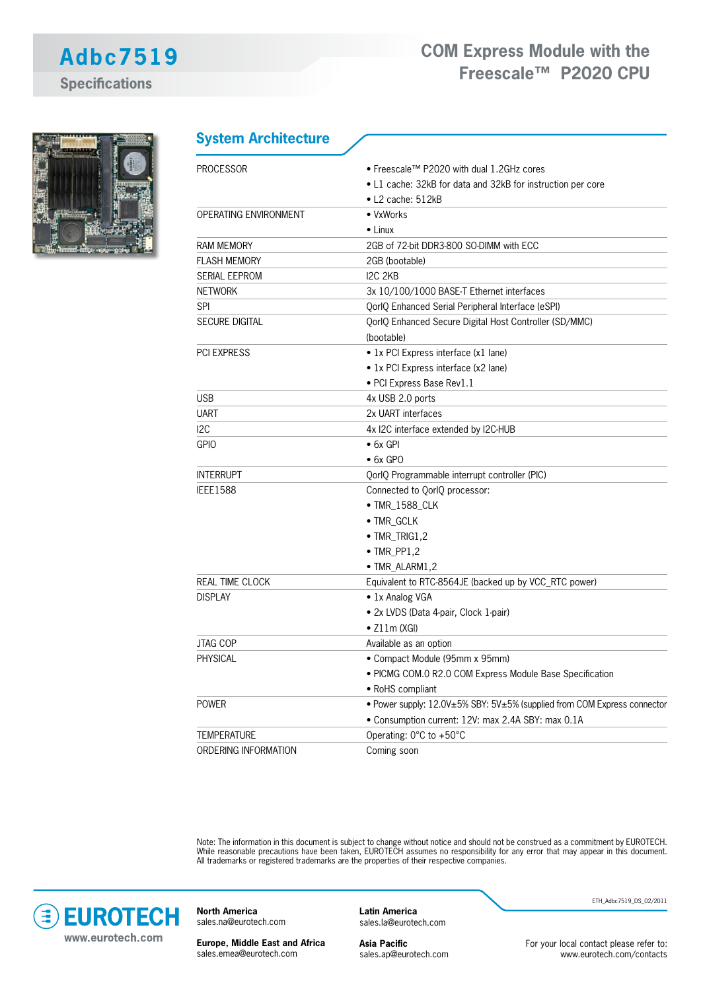**System Architecture**



| <b>PROCESSOR</b>       | • Freescale™ P2020 with dual 1.2GHz cores                                              |
|------------------------|----------------------------------------------------------------------------------------|
|                        | • L1 cache: 32kB for data and 32kB for instruction per core                            |
|                        | $\bullet$ L2 cache: 512kB                                                              |
| OPERATING ENVIRONMENT  | • VxWorks                                                                              |
|                        | $\bullet$ Linux                                                                        |
| <b>RAM MEMORY</b>      | 2GB of 72-bit DDR3-800 SO-DIMM with ECC                                                |
| <b>FLASH MEMORY</b>    | 2GB (bootable)                                                                         |
| <b>SERIAL EEPROM</b>   | I2C 2KB                                                                                |
| <b>NETWORK</b>         | 3x 10/100/1000 BASE-T Ethernet interfaces                                              |
| <b>SPI</b>             | QorlQ Enhanced Serial Peripheral Interface (eSPI)                                      |
| <b>SECURE DIGITAL</b>  | QorlQ Enhanced Secure Digital Host Controller (SD/MMC)<br>(bootable)                   |
| <b>PCI EXPRESS</b>     | • 1x PCI Express interface (x1 lane)                                                   |
|                        | • 1x PCI Express interface (x2 lane)                                                   |
|                        | · PCI Express Base Rev1.1                                                              |
| <b>USB</b>             | 4x USB 2.0 ports                                                                       |
| <b>UART</b>            | 2x UART interfaces                                                                     |
| 12C                    | 4x I2C interface extended by I2C-HUB                                                   |
| <b>GPIO</b>            | $\bullet$ 6x GPI                                                                       |
|                        | $\bullet$ 6x GPO                                                                       |
| <b>INTERRUPT</b>       | QorlQ Programmable interrupt controller (PIC)                                          |
| <b>IEEE1588</b>        | Connected to QorlQ processor:                                                          |
|                        | • TMR_1588_CLK                                                                         |
|                        | • TMR_GCLK                                                                             |
|                        | $\bullet$ TMR_TRIG1,2                                                                  |
|                        | $\bullet$ TMR_PP1,2                                                                    |
|                        | • TMR_ALARM1,2                                                                         |
| <b>REAL TIME CLOCK</b> | Equivalent to RTC-8564JE (backed up by VCC_RTC power)                                  |
| <b>DISPLAY</b>         | • 1x Analog VGA                                                                        |
|                        | • 2x LVDS (Data 4-pair, Clock 1-pair)                                                  |
|                        | $\bullet$ Z11m (XGI)                                                                   |
| JTAG COP               | Available as an option                                                                 |
| <b>PHYSICAL</b>        | • Compact Module (95mm x 95mm)                                                         |
|                        | · PICMG COM.0 R2.0 COM Express Module Base Specification                               |
|                        | • RoHS compliant                                                                       |
| <b>POWER</b>           | • Power supply: $12.0V \pm 5\%$ SBY: $5V \pm 5\%$ (supplied from COM Express connector |
|                        | · Consumption current: 12V: max 2.4A SBY: max 0.1A                                     |
| <b>TEMPERATURE</b>     | Operating: 0°C to +50°C                                                                |
| ORDERING INFORMATION   | Coming soon                                                                            |

Note: The information in this document is subject to change without notice and should not be construed as a commitment by EUROTECH. While reasonable precautions have been taken, EUROTECH assumes no responsibility for any error that may appear in this document. All trademarks or registered trademarks are the properties of their respective companies.



**North America** sales.na@eurotech.com

**Europe, Middle East and Africa** sales.emea@eurotech.com

**Latin America** sales.la@eurotech.com

**Asia Pacific** sales.ap@eurotech.com ETH\_Adbc7519\_DS\_02/2011

For your local contact please refer to: www.eurotech.com/contacts